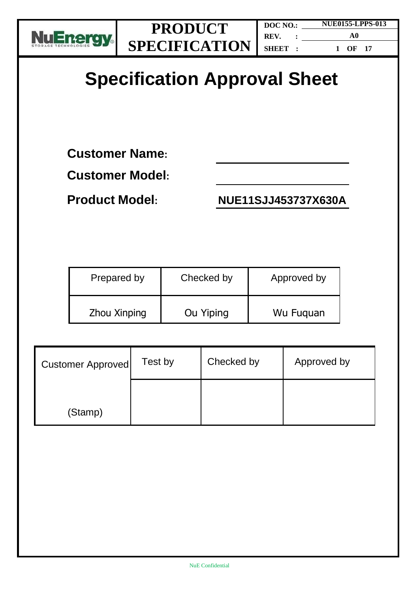

## **Specification Approval Sheet**

**Customer Name:** 

**Customer Model:**

**Product Model: NUE11SJJ453737X630A**

| Prepared by  | Checked by | Approved by |
|--------------|------------|-------------|
| Zhou Xinping | Ou Yiping  | Wu Fuguan   |

| <b>Customer Approved</b> | Test by | Checked by | Approved by |
|--------------------------|---------|------------|-------------|
| (Stamp)                  |         |            |             |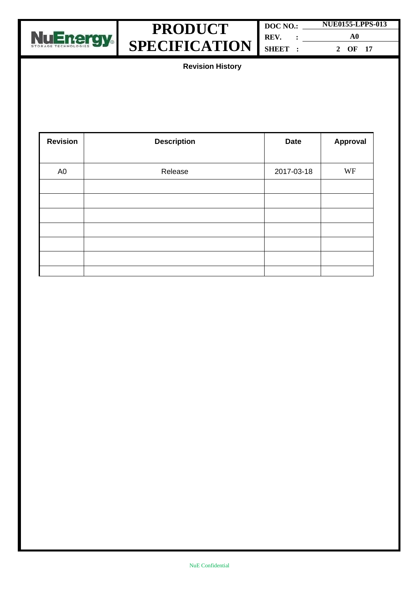



| DOC NO.: |  | <b>NUE0155-LPPS-013</b> |  |
|----------|--|-------------------------|--|
| REV.     |  | A0                      |  |
| SHEET :  |  | OF 17                   |  |

**Revision History**

| <b>Revision</b> | <b>Description</b> | <b>Date</b> | Approval |
|-----------------|--------------------|-------------|----------|
|                 |                    |             |          |
| A <sub>0</sub>  | Release            | 2017-03-18  | WF       |
|                 |                    |             |          |
|                 |                    |             |          |
|                 |                    |             |          |
|                 |                    |             |          |
|                 |                    |             |          |
|                 |                    |             |          |
|                 |                    |             |          |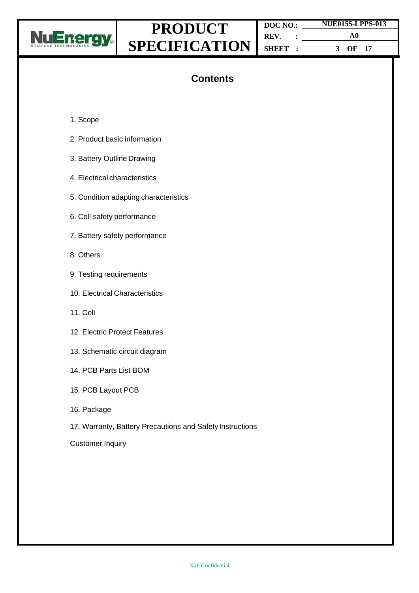

**DOC NO.: REV. : SHEET : NUE0155-LPPS-013 A0 3 OF 17**

#### **Contents**

- 1. Scope
- 2. Product basic information
- 3. Battery Outline Drawing
- 4. Electrical characteristics
- 5. Condition adapting characteristics
- 6. Cell safety performance
- 7. Battery safety performance
- 8. Others
- 9. Testing requirements
- 10. Electrical Characteristics
- 11. Cell
- 12. Electric Protect Features
- 13. Schematic circuit diagram
- 14. PCB Parts List BOM
- 15. PCB Layout PCB
- 16. Package
- 17. Warranty, Battery Precautions and Safety Instructions

Customer Inquiry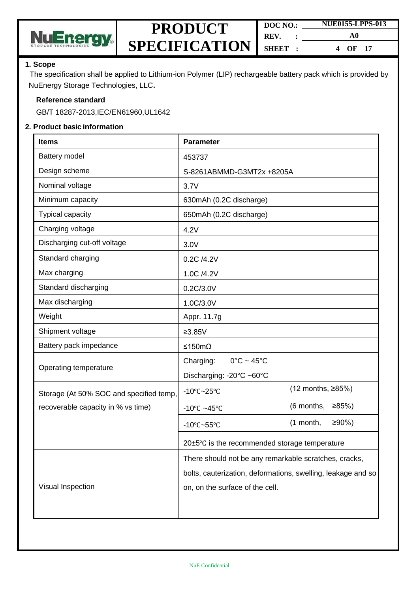

| DOC NO.: |  | <b>NUE0155-LPPS-013</b> |  |
|----------|--|-------------------------|--|
| REV.     |  | A0                      |  |
| SHEET:   |  | OF <sub>17</sub><br>4   |  |

#### **1. Scope**

The specification shall be applied to Lithium-ion Polymer (LIP) rechargeable battery pack which is provided by NuEnergy Storage Technologies, LLC**.**

#### **Reference standard**

GB/T 18287-2013,IEC/EN61960,UL1642

#### **2. Product basic information**

| <b>Items</b>                            | <b>Parameter</b>                                             |                         |  |  |
|-----------------------------------------|--------------------------------------------------------------|-------------------------|--|--|
| Battery model                           | 453737                                                       |                         |  |  |
| Design scheme                           | S-8261ABMMD-G3MT2x +8205A                                    |                         |  |  |
| Nominal voltage                         | 3.7V                                                         |                         |  |  |
| Minimum capacity                        | 630mAh (0.2C discharge)                                      |                         |  |  |
| <b>Typical capacity</b>                 | 650mAh (0.2C discharge)                                      |                         |  |  |
| Charging voltage                        | 4.2V                                                         |                         |  |  |
| Discharging cut-off voltage             | 3.0V                                                         |                         |  |  |
| Standard charging                       | 0.2C /4.2V                                                   |                         |  |  |
| Max charging                            | 1.0C /4.2V                                                   |                         |  |  |
| Standard discharging                    | 0.2C/3.0V                                                    |                         |  |  |
| Max discharging                         | 1.0C/3.0V                                                    |                         |  |  |
| Weight                                  | Appr. 11.7g                                                  |                         |  |  |
| Shipment voltage                        | $≥3.85V$                                                     |                         |  |  |
| Battery pack impedance                  | ≤150mΩ                                                       |                         |  |  |
| Operating temperature                   | $0^{\circ}$ C ~ 45 $^{\circ}$ C<br>Charging:                 |                         |  |  |
|                                         | Discharging: -20°C ~60°C                                     |                         |  |  |
| Storage (At 50% SOC and specified temp, | $-10^{\circ}$ C $-25^{\circ}$ C                              | (12 months, ≥85%)       |  |  |
| recoverable capacity in % vs time)      | -10 $\textdegree$ C ~45 $\textdegree$ C                      | (6 months,<br>≥85%      |  |  |
|                                         | $-10^{\circ}$ C $-55^{\circ}$ C                              | $≥90%$ )<br>$(1$ month, |  |  |
|                                         | 20±5°C is the recommended storage temperature                |                         |  |  |
|                                         | There should not be any remarkable scratches, cracks,        |                         |  |  |
|                                         | bolts, cauterization, deformations, swelling, leakage and so |                         |  |  |
| Visual Inspection                       | on, on the surface of the cell.                              |                         |  |  |
|                                         |                                                              |                         |  |  |
|                                         |                                                              |                         |  |  |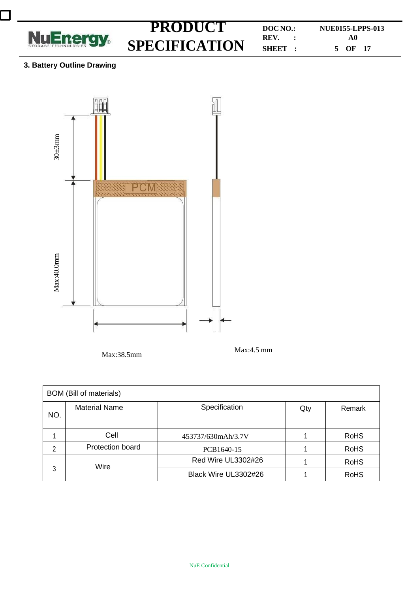

 $\mathcal{L}_{\mathcal{A}}$ 

# **SPECIFICATION**

**PRODUCT DOCNO.: NUE0155-LPPS-013 SHEET : A0 5 OF 17**

#### **3. Battery Outline Drawing**



Max:38.5mm Max:4.5 mm

| <b>BOM</b> (Bill of materials) |                      |                      |     |             |  |
|--------------------------------|----------------------|----------------------|-----|-------------|--|
| NO.                            | <b>Material Name</b> | Specification        | Qty | Remark      |  |
|                                | Cell                 | 453737/630mAh/3.7V   |     | <b>RoHS</b> |  |
| 2                              | Protection board     | PCB1640-15           |     | <b>RoHS</b> |  |
| 3                              | Wire                 | Red Wire UL3302#26   |     | <b>RoHS</b> |  |
|                                |                      | Black Wire UL3302#26 |     | <b>RoHS</b> |  |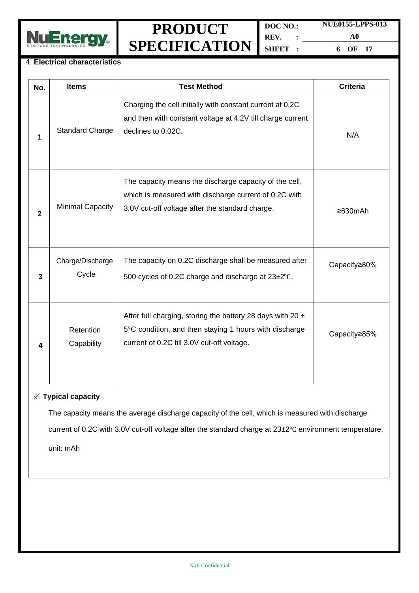

**DOC NO.: REV. : SHEET : NUE0155-LPPS-013 A0**

**6 OF 17**

#### 4. **Electrical characteristics**

| No.          | <b>Items</b>              | <b>Test Method</b>                                                                                                                                                     | <b>Criteria</b> |
|--------------|---------------------------|------------------------------------------------------------------------------------------------------------------------------------------------------------------------|-----------------|
| 1            | <b>Standard Charge</b>    | Charging the cell initially with constant current at 0.2C<br>and then with constant voltage at 4.2V till charge current<br>declines to 0.02C.                          | N/A             |
| $\mathbf{2}$ | <b>Minimal Capacity</b>   | The capacity means the discharge capacity of the cell,<br>which is measured with discharge current of 0.2C with<br>3.0V cut-off voltage after the standard charge.     | $\geq 630$ mAh  |
| 3            | Charge/Discharge<br>Cycle | The capacity on 0.2C discharge shall be measured after<br>500 cycles of 0.2C charge and discharge at 23±2°C.                                                           | Capacity≥80%    |
| 4            | Retention<br>Capability   | After full charging, storing the battery 28 days with 20 $\pm$<br>5°C condition, and then staying 1 hours with discharge<br>current of 0.2C till 3.0V cut-off voltage. | Capacity≥85%    |

#### ※ **Typical capacity**

The capacity means the average discharge capacity of the cell, which is measured with discharge current of 0.2C with 3.0V cut-off voltage after the standard charge at 23±2℃ environment temperature,

unit: mAh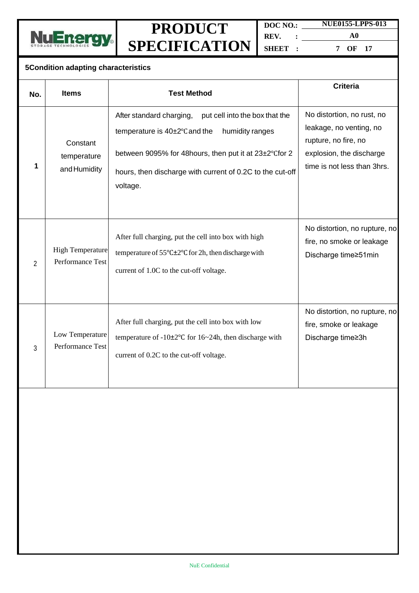



**DOC NO.: REV. : SHEET : NUE0155-LPPS-013 A0**

**7 OF 17**

#### **5Condition adapting characteristics**

|                |                                             |                                                                                                                                                                                                                                                  | <b>Criteria</b>                                                                                                                          |
|----------------|---------------------------------------------|--------------------------------------------------------------------------------------------------------------------------------------------------------------------------------------------------------------------------------------------------|------------------------------------------------------------------------------------------------------------------------------------------|
| No.            | <b>Items</b>                                | <b>Test Method</b>                                                                                                                                                                                                                               |                                                                                                                                          |
|                | Constant<br>temperature<br>and Humidity     | After standard charging,<br>put cell into the box that the<br>temperature is 40±2°C and the<br>humidity ranges<br>between 9095% for 48hours, then put it at 23±2°Cfor 2<br>hours, then discharge with current of 0.2C to the cut-off<br>voltage. | No distortion, no rust, no<br>leakage, no venting, no<br>rupture, no fire, no<br>explosion, the discharge<br>time is not less than 3hrs. |
| $\overline{2}$ | <b>High Temperature</b><br>Performance Test | After full charging, put the cell into box with high<br>temperature of $55^{\circ}$ C $\pm$ 2°C for 2h, then discharge with<br>current of 1.0C to the cut-off voltage.                                                                           | No distortion, no rupture, no<br>fire, no smoke or leakage<br>Discharge time≥51min                                                       |
| 3              | Low Temperature<br>Performance Test         | After full charging, put the cell into box with low<br>temperature of $-10\pm2\degree$ C for $16\sim24$ h, then discharge with<br>current of 0.2C to the cut-off voltage.                                                                        | No distortion, no rupture, no<br>fire, smoke or leakage<br>Discharge time≥3h                                                             |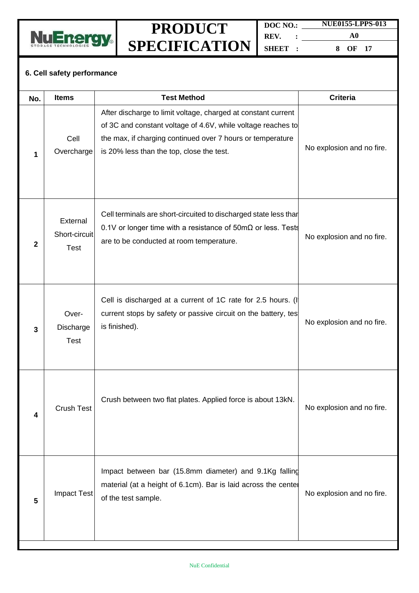

**DOC NO.: REV. : SHEET : NUE0155-LPPS-013 A0**

**8 OF 17**

#### **6. Cell safety performance**

| No.          | <b>Items</b>                             | <b>Test Method</b>                                                                                                                                                                                                                       | <b>Criteria</b>           |
|--------------|------------------------------------------|------------------------------------------------------------------------------------------------------------------------------------------------------------------------------------------------------------------------------------------|---------------------------|
| 1            | Cell<br>Overcharge                       | After discharge to limit voltage, charged at constant current<br>of 3C and constant voltage of 4.6V, while voltage reaches to<br>the max, if charging continued over 7 hours or temperature<br>is 20% less than the top, close the test. | No explosion and no fire. |
| $\mathbf{2}$ | External<br>Short-circuit<br><b>Test</b> | Cell terminals are short-circuited to discharged state less than<br>0.1V or longer time with a resistance of 50m $\Omega$ or less. Tests<br>are to be conducted at room temperature.                                                     | No explosion and no fire. |
| 3            | Over-<br>Discharge<br><b>Test</b>        | Cell is discharged at a current of 1C rate for 2.5 hours. (I<br>current stops by safety or passive circuit on the battery, tes<br>is finished).                                                                                          | No explosion and no fire. |
| 4            | <b>Crush Test</b>                        | Crush between two flat plates. Applied force is about 13kN.                                                                                                                                                                              | No explosion and no fire. |
| 5            | <b>Impact Test</b>                       | Impact between bar (15.8mm diameter) and 9.1Kg falling<br>material (at a height of 6.1cm). Bar is laid across the center<br>of the test sample.                                                                                          | No explosion and no fire. |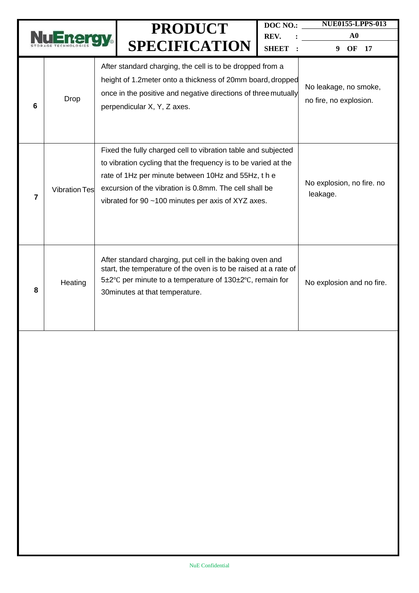|                |                      |  | <b>PRODUCT</b><br><b>SPECIFICATION</b>                                                                                                                                                                                                                                                               | DOC NO.:<br>REV.<br><b>SHEET</b> | <b>NUE0155-LPPS-013</b><br>${\bf A0}$<br>OF<br>17<br>9 |
|----------------|----------------------|--|------------------------------------------------------------------------------------------------------------------------------------------------------------------------------------------------------------------------------------------------------------------------------------------------------|----------------------------------|--------------------------------------------------------|
| 6              | Drop                 |  | After standard charging, the cell is to be dropped from a<br>height of 1.2 meter onto a thickness of 20mm board, dropped<br>once in the positive and negative directions of three mutually<br>perpendicular X, Y, Z axes.                                                                            |                                  | No leakage, no smoke,<br>no fire, no explosion.        |
| $\overline{7}$ | <b>Vibration Tes</b> |  | Fixed the fully charged cell to vibration table and subjected<br>to vibration cycling that the frequency is to be varied at the<br>rate of 1Hz per minute between 10Hz and 55Hz, the<br>excursion of the vibration is 0.8mm. The cell shall be<br>vibrated for 90 ~100 minutes per axis of XYZ axes. |                                  | No explosion, no fire. no<br>leakage.                  |
| 8              | Heating              |  | After standard charging, put cell in the baking oven and<br>start, the temperature of the oven is to be raised at a rate of<br>5±2°C per minute to a temperature of 130±2°C, remain for<br>30 minutes at that temperature.                                                                           |                                  | No explosion and no fire.                              |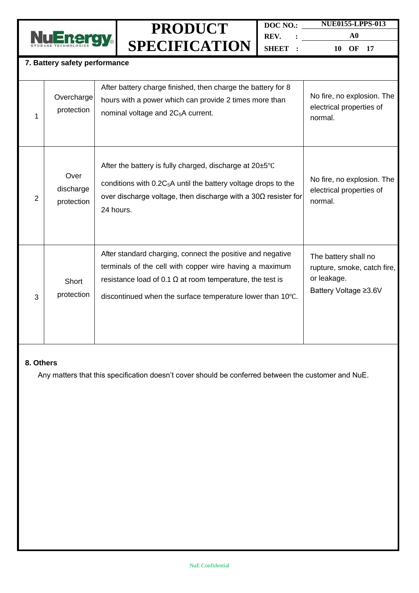

**DOC NO.: REV. : SHEET : NUE0155-LPPS-013 A0**

**10 OF 17**

| 7. Battery safety performance |                                 |                                                                                                                                                                                                                                                         |                                                                                             |  |  |  |
|-------------------------------|---------------------------------|---------------------------------------------------------------------------------------------------------------------------------------------------------------------------------------------------------------------------------------------------------|---------------------------------------------------------------------------------------------|--|--|--|
| 1                             | Overcharge<br>protection        | After battery charge finished, then charge the battery for 8<br>hours with a power which can provide 2 times more than<br>nominal voltage and 2C <sub>5</sub> A current.                                                                                | No fire, no explosion. The<br>electrical properties of<br>normal.                           |  |  |  |
| 2                             | Over<br>discharge<br>protection | After the battery is fully charged, discharge at 20±5°C<br>conditions with 0.2C <sub>5</sub> A until the battery voltage drops to the<br>over discharge voltage, then discharge with a $30\Omega$ resister for<br>24 hours.                             | No fire, no explosion. The<br>electrical properties of<br>normal.                           |  |  |  |
| 3                             | Short<br>protection             | After standard charging, connect the positive and negative<br>terminals of the cell with copper wire having a maximum<br>resistance load of 0.1 $\Omega$ at room temperature, the test is<br>discontinued when the surface temperature lower than 10°C. | The battery shall no<br>rupture, smoke, catch fire,<br>or leakage.<br>Battery Voltage ≥3.6V |  |  |  |

#### **8. Others**

Any matters that this specification doesn't cover should be conferred between the customer and NuE.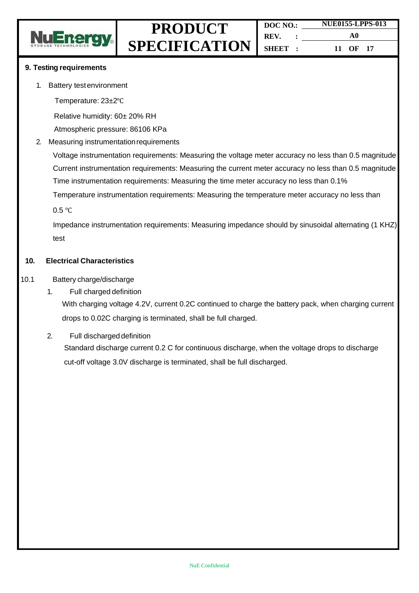

#### **9. Testing requirements**

- 1. Battery testenvironment
	- Temperature: 23±2℃

Relative humidity: 60± 20% RH

Atmospheric pressure: 86106 KPa

#### 2. Measuring instrumentationrequirements

Voltage instrumentation requirements: Measuring the voltage meter accuracy no less than 0.5 magnitude Current instrumentation requirements: Measuring the current meter accuracy no less than 0.5 magnitude Time instrumentation requirements: Measuring the time meter accuracy no less than 0.1%

Temperature instrumentation requirements: Measuring the temperature meter accuracy no less than

0.5 ℃

Impedance instrumentation requirements: Measuring impedance should by sinusoidal alternating (1 KHZ) test

#### **10. Electrical Characteristics**

- 10.1 Battery charge/discharge
	- 1. Full charged definition

With charging voltage 4.2V, current 0.2C continued to charge the battery pack, when charging current drops to 0.02C charging is terminated, shall be full charged.

2. Full discharged definition Standard discharge current 0.2 C for continuous discharge, when the voltage drops to discharge cut-off voltage 3.0V discharge is terminated, shall be full discharged.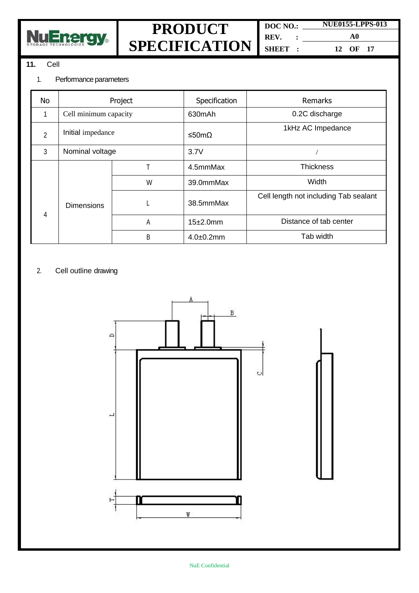

**DOC NO.: REV. : SHEET : NUE0155-LPPS-013**

**A0 12 OF 17**

#### **11.** Cell

#### 1. Performance parameters

| No             | Project               |   | Specification  | <b>Remarks</b>                        |
|----------------|-----------------------|---|----------------|---------------------------------------|
| 1              | Cell minimum capacity |   | 630mAh         | 0.2C discharge                        |
| $\overline{2}$ | Initial impedance     |   | ≤50mΩ          | 1kHz AC Impedance                     |
| 3              | Nominal voltage       |   | 3.7V           |                                       |
|                |                       | T | 4.5mmMax       | <b>Thickness</b>                      |
| 4              | <b>Dimensions</b>     | W | 39.0mmMax      | Width                                 |
|                |                       | L | 38.5mmMax      | Cell length not including Tab sealant |
|                |                       | A | 15±2.0mm       | Distance of tab center                |
|                |                       | B | $4.0 + 0.2$ mm | Tab width                             |

#### 2. Cell outline drawing

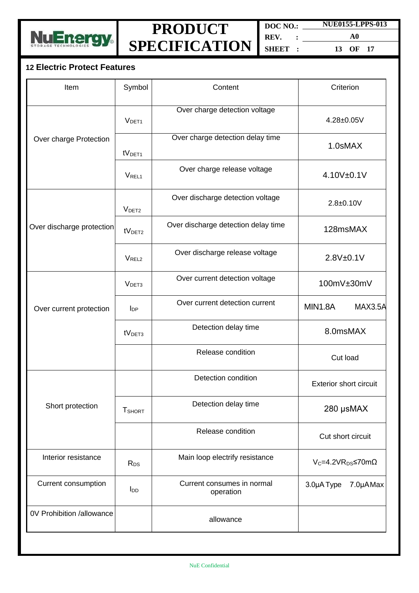

**DOC NO.: REV. : SHEET : NUE0155-LPPS-013**

**A0 13 OF 17**

#### **12 Electric Protect Features**

| Item                      | Symbol             | Content                                 | Criterion                        |  |
|---------------------------|--------------------|-----------------------------------------|----------------------------------|--|
|                           | V <sub>DET1</sub>  | Over charge detection voltage           | 4.28±0.05V                       |  |
| Over charge Protection    | tV <sub>DET1</sub> | Over charge detection delay time        | 1.0sMAX                          |  |
|                           | V <sub>REL1</sub>  | Over charge release voltage             | 4.10V±0.1V                       |  |
|                           | V <sub>DET2</sub>  | Over discharge detection voltage        | $2.8 + 0.10V$                    |  |
| Over discharge protection | tV <sub>DET2</sub> | Over discharge detection delay time     | 128msMAX                         |  |
|                           | V <sub>REL2</sub>  | Over discharge release voltage          | 2.8V±0.1V                        |  |
|                           | V <sub>DET3</sub>  | Over current detection voltage          | 100mV±30mV                       |  |
| Over current protection   | $I_{DP}$           | Over current detection current          | MIN1.8A<br>MAX3.5A               |  |
|                           | tV <sub>DET3</sub> | Detection delay time                    | 8.0msMAX                         |  |
|                           |                    | Release condition                       | Cut load                         |  |
|                           |                    | Detection condition                     | <b>Exterior short circuit</b>    |  |
| Short protection          | <b>T</b> SHORT     | Detection delay time                    | 280 µsMAX                        |  |
|                           |                    | Release condition                       | Cut short circuit                |  |
| Interior resistance       | $R_{DS}$           | Main loop electrify resistance          | $V_C = 4.2VR_{DS} \le 70m\Omega$ |  |
| Current consumption       | $I_{DD}$           | Current consumes in normal<br>operation | 3.0µA Type<br>7.0µAMax           |  |
| 0V Prohibition /allowance |                    | allowance                               |                                  |  |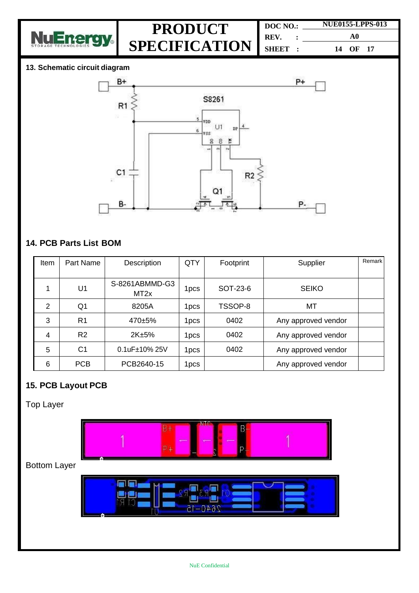

| DOC NO.: | <b>NUE0155-LPPS-013</b> |  |  |
|----------|-------------------------|--|--|
| REV.     | A0                      |  |  |
| SHEET:   | 14 OF 17                |  |  |

#### **13. Schematic circuit diagram**



#### **14. PCB Parts List BOM**

| Item | Part Name      | Description                        | QTY              | Footprint | Supplier            | Remark |
|------|----------------|------------------------------------|------------------|-----------|---------------------|--------|
|      | U <sub>1</sub> | S-8261ABMMD-G3<br>MT <sub>2x</sub> | 1pcs             | SOT-23-6  | <b>SEIKO</b>        |        |
| 2    | Q <sub>1</sub> | 8205A                              | 1pcs             | TSSOP-8   | MT                  |        |
| 3    | R <sub>1</sub> | $470 + 5%$                         | 1pcs             | 0402      | Any approved vendor |        |
| 4    | R <sub>2</sub> | 2K±5%                              | 1 <sub>pcs</sub> | 0402      | Any approved vendor |        |
| 5    | C <sub>1</sub> | $0.1uF±10\%25V$                    | 1pcs.            | 0402      | Any approved vendor |        |
| 6    | <b>PCB</b>     | PCB2640-15                         | 1pcs.            |           | Any approved vendor |        |

#### **15. PCB Layout PCB**

Top Layer

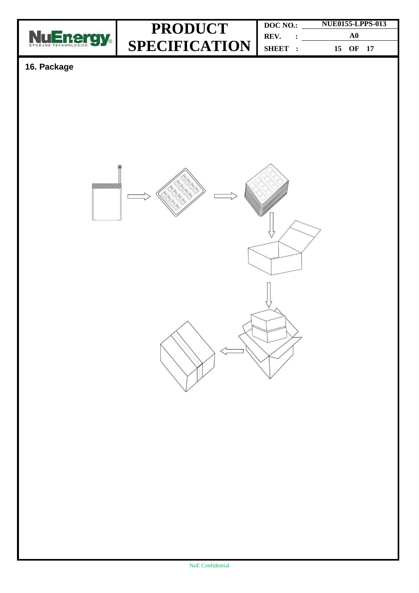

**DOC NO.: REV. : SHEET : NUE0155-LPPS-013 A0 15 OF 17**

#### **16. Package**

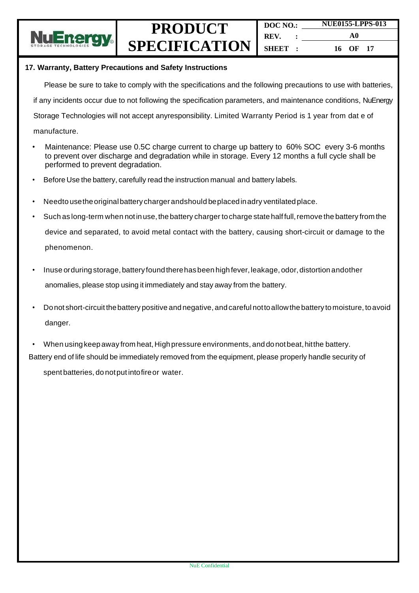

#### **17. Warranty, Battery Precautions and Safety Instructions**

Please be sure to take to comply with the specifications and the following precautions to use with batteries,

if any incidents occur due to not following the specification parameters, and maintenance conditions, NuEnergy

Storage Technologies will not accept anyresponsibility. Limited Warranty Period is 1 year from dat e of

- manufacture.
- Maintenance: Please use 0.5C charge current to charge up battery to 60% SOC every 3-6 months to prevent over discharge and degradation while in storage. Every 12 months a full cycle shall be performed to prevent degradation.
- Before Use the battery, carefully read the instruction manual and battery labels.
- Needto usetheoriginalbattery chargerandshould beplacedinadry ventilatedplace.
- Such as long-term when not in use, the battery charger to charge state half full, remove the battery from the device and separated, to avoid metal contact with the battery, causing short-circuit or damage to the phenomenon.
- Inuse orduring storage, battery found there has been high fever, leakage, odor, distortion andother anomalies, please stop using it immediately and stay away from the battery.
- Donot short-circuitthebattery positive andnegative, andcareful nottoallowthe battery tomoisture, toavoid danger.
- When using keep away from heat, High pressure environments, and donot beat, hit the battery. Battery end of life should be immediately removed from the equipment, please properly handle security of

spent batteries, do notput intofireor water.